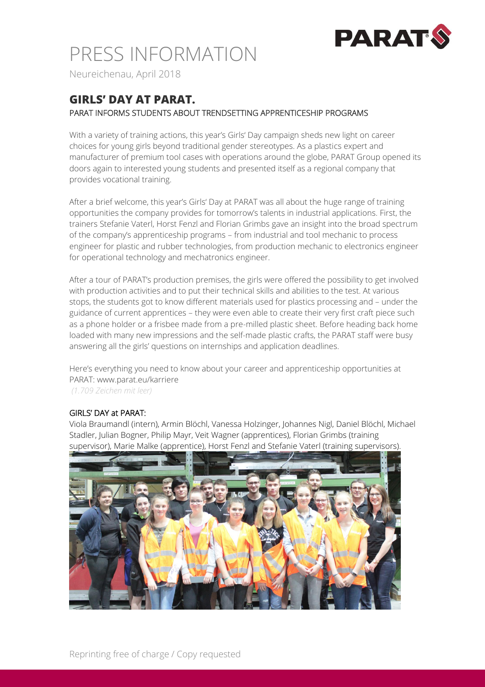

# PRESS INFORMATION

Neureichenau, April 2018

## **GIRLS' DAY AT PARAT.** PARAT INFORMS STUDENTS ABOUT TRENDSETTING APPRENTICESHIP PROGRAMS

With a variety of training actions, this year's Girls' Day campaign sheds new light on career choices for young girls beyond traditional gender stereotypes. As a plastics expert and manufacturer of premium tool cases with operations around the globe, PARAT Group opened its doors again to interested young students and presented itself as a regional company that provides vocational training.

After a brief welcome, this year's Girls' Day at PARAT was all about the huge range of training opportunities the company provides for tomorrow's talents in industrial applications. First, the trainers Stefanie Vaterl, Horst Fenzl and Florian Grimbs gave an insight into the broad spectrum of the company's apprenticeship programs – from industrial and tool mechanic to process engineer for plastic and rubber technologies, from production mechanic to electronics engineer for operational technology and mechatronics engineer.

After a tour of PARAT's production premises, the girls were offered the possibility to get involved with production activities and to put their technical skills and abilities to the test. At various stops, the students got to know different materials used for plastics processing and – under the guidance of current apprentices – they were even able to create their very first craft piece such as a phone holder or a frisbee made from a pre-milled plastic sheet. Before heading back home loaded with many new impressions and the self-made plastic crafts, the PARAT staff were busy answering all the girls' questions on internships and application deadlines.

Here's everything you need to know about your career and apprenticeship opportunities at PARAT: www.parat.eu/karriere

*(1.709 Zeichen mit leer)*

### GIRLS' DAY at PARAT:

Viola Braumandl (intern), Armin Blöchl, Vanessa Holzinger, Johannes Nigl, Daniel Blöchl, Michael Stadler, Julian Bogner, Philip Mayr, Veit Wagner (apprentices), Florian Grimbs (training supervisor), Marie Malke (apprentice), Horst Fenzl and Stefanie Vaterl (training supervisors).